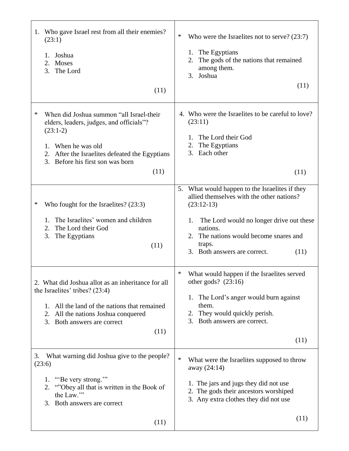| 1. Who gave Israel rest from all their enemies?<br>(23:1)<br>Joshua<br>1.<br>Moses<br>2.<br>The Lord<br>3.<br>(11)                                                                                                                   | ∗<br>Who were the Israelites not to serve? $(23:7)$<br>1. The Egyptians<br>The gods of the nations that remained<br>2.<br>among them.<br>3. Joshua<br>(11)                                                                                                                  |
|--------------------------------------------------------------------------------------------------------------------------------------------------------------------------------------------------------------------------------------|-----------------------------------------------------------------------------------------------------------------------------------------------------------------------------------------------------------------------------------------------------------------------------|
| *<br>When did Joshua summon "all Israel-their<br>elders, leaders, judges, and officials"?<br>$(23:1-2)$<br>When he was old<br>1.<br>After the Israelites defeated the Egyptians<br>2.<br>3.<br>Before his first son was born<br>(11) | 4. Who were the Israelites to be careful to love?<br>(23:11)<br>The Lord their God<br>The Egyptians<br>2.<br>3.<br>Each other<br>(11)                                                                                                                                       |
| ∗<br>Who fought for the Israelites? (23:3)<br>The Israelites' women and children<br>1.<br>The Lord their God<br>2.<br>3.<br>The Egyptians<br>(11)                                                                                    | What would happen to the Israelites if they<br>5.<br>allied themselves with the other nations?<br>$(23:12-13)$<br>The Lord would no longer drive out these<br>1.<br>nations.<br>The nations would become snares and<br>2.<br>traps.<br>3. Both answers are correct.<br>(11) |
| 2. What did Joshua allot as an inheritance for all<br>the Israelites' tribes? $(23:4)$<br>All the land of the nations that remained<br>1.<br>All the nations Joshua conquered<br>2.<br>3.<br>Both answers are correct<br>(11)        | $\ast$<br>What would happen if the Israelites served<br>other gods? $(23:16)$<br>1. The Lord's anger would burn against<br>them.<br>They would quickly perish.<br>2.<br>Both answers are correct.<br>3.<br>(11)                                                             |
| What warning did Joshua give to the people?<br>3.<br>(23:6)<br>"Be very strong.""<br>1.<br>"Obey all that is written in the Book of<br>2.<br>the Law."<br>Both answers are correct<br>3.                                             | $\ast$<br>What were the Israelites supposed to throw<br>away (24:14)<br>1. The jars and jugs they did not use<br>2. The gods their ancestors worshiped<br>3. Any extra clothes they did not use                                                                             |
| (11)                                                                                                                                                                                                                                 | (11)                                                                                                                                                                                                                                                                        |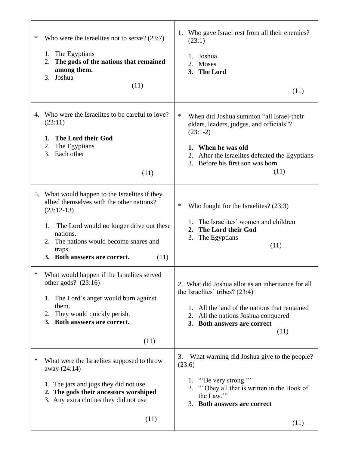| ∗  | Who were the Israelites not to serve? $(23:7)$<br>The Egyptians<br>1.<br>The gods of the nations that remained<br>2.<br>among them.<br>3. Joshua<br>(11)                                                                                                                 | 1. Who gave Israel rest from all their enemies?<br>(23:1)<br>1. Joshua<br>2.<br>Moses<br>3. The Lord<br>(11)                                                                                                                     |
|----|--------------------------------------------------------------------------------------------------------------------------------------------------------------------------------------------------------------------------------------------------------------------------|----------------------------------------------------------------------------------------------------------------------------------------------------------------------------------------------------------------------------------|
| 4. | Who were the Israelites to be careful to love?<br>(23:11)<br>The Lord their God<br>1.<br>The Egyptians<br>2.<br>Each other<br>3.<br>(11)                                                                                                                                 | $\ast$<br>When did Joshua summon "all Israel-their<br>elders, leaders, judges, and officials"?<br>$(23:1-2)$<br>1. When he was old<br>2. After the Israelites defeated the Egyptians<br>3. Before his first son was born<br>(11) |
|    | 5. What would happen to the Israelites if they<br>allied themselves with the other nations?<br>$(23:12-13)$<br>The Lord would no longer drive out these<br>1.<br>nations.<br>The nations would become snares and<br>2.<br>traps.<br>3. Both answers are correct.<br>(11) | ∗<br>Who fought for the Israelites? (23:3)<br>The Israelites' women and children<br>1.<br>The Lord their God<br>2.<br>3.<br>The Egyptians<br>(11)                                                                                |
| ∗  | What would happen if the Israelites served<br>other gods? $(23:16)$<br>The Lord's anger would burn against<br>1.<br>them.<br>They would quickly perish.<br>2.<br>3. Both answers are correct.<br>(11)                                                                    | 2. What did Joshua allot as an inheritance for all<br>the Israelites' tribes? $(23:4)$<br>All the land of the nations that remained<br>1.<br>2. All the nations Joshua conquered<br>3. Both answers are correct<br>(11)          |
| ∗  | What were the Israelites supposed to throw<br>away (24:14)<br>1. The jars and jugs they did not use<br>2. The gods their ancestors worshiped<br>3. Any extra clothes they did not use<br>(11)                                                                            | What warning did Joshua give to the people?<br>3.<br>(23:6)<br>1. "Be very strong."<br>"Obey all that is written in the Book of<br>2.<br>the Law."<br>Both answers are correct<br>3.<br>(11)                                     |

T

Г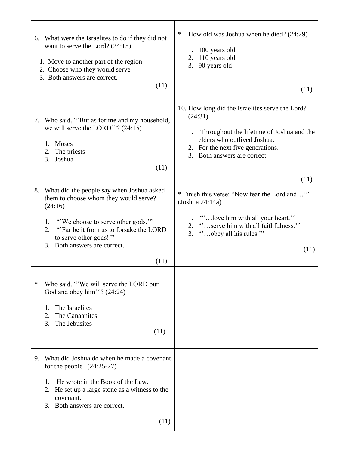| 6. What were the Israelites to do if they did not<br>want to serve the Lord? $(24:15)$<br>1. Move to another part of the region<br>2. Choose who they would serve<br>3. Both answers are correct.<br>(11)                                                     | ∗<br>How old was Joshua when he died? (24:29)<br>1. 100 years old<br>110 years old<br>2.<br>90 years old<br>3.<br>(11)                                                                                                    |
|---------------------------------------------------------------------------------------------------------------------------------------------------------------------------------------------------------------------------------------------------------------|---------------------------------------------------------------------------------------------------------------------------------------------------------------------------------------------------------------------------|
| Who said, "But as for me and my household,<br>7.<br>we will serve the LORD""? $(24:15)$<br>1. Moses<br>2. The priests<br>Joshua<br>3.<br>(11)                                                                                                                 | 10. How long did the Israelites serve the Lord?<br>(24:31)<br>Throughout the lifetime of Joshua and the<br>1.<br>elders who outlived Joshua.<br>2. For the next five generations.<br>3. Both answers are correct.<br>(11) |
| 8. What did the people say when Joshua asked<br>them to choose whom they would serve?<br>(24:16)<br>"We choose to serve other gods.""<br>1.<br>"Far be it from us to forsake the LORD<br>2.<br>to serve other gods!""<br>3. Both answers are correct.<br>(11) | * Finish this verse: "Now fear the Lord and"<br>$($ Joshua 24:14a $)$<br>1. " love him with all your heart."<br>2. "serve him with all faithfulness."<br>3. "obey all his rules."<br>(11)                                 |
| ∗<br>Who said, "We will serve the LORD our<br>God and obey him"? $(24:24)$<br>The Israelites<br>1.<br>$\overline{2}$ .<br>The Canaanites<br>3.<br>The Jebusites<br>(11)                                                                                       |                                                                                                                                                                                                                           |
| What did Joshua do when he made a covenant<br>9.<br>for the people? $(24:25-27)$<br>He wrote in the Book of the Law.<br>1.<br>He set up a large stone as a witness to the<br>2.<br>covenant.<br>3. Both answers are correct.<br>(11)                          |                                                                                                                                                                                                                           |